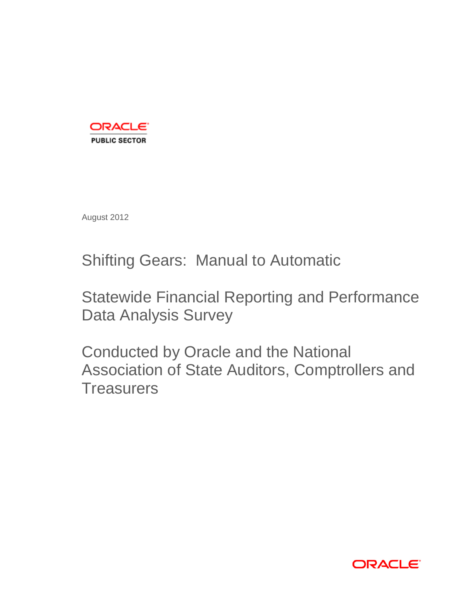

August 2012

Shifting Gears: Manual to Automatic

Statewide Financial Reporting and Performance Data Analysis Survey

Conducted by Oracle and the National Association of State Auditors, Comptrollers and **Treasurers** 

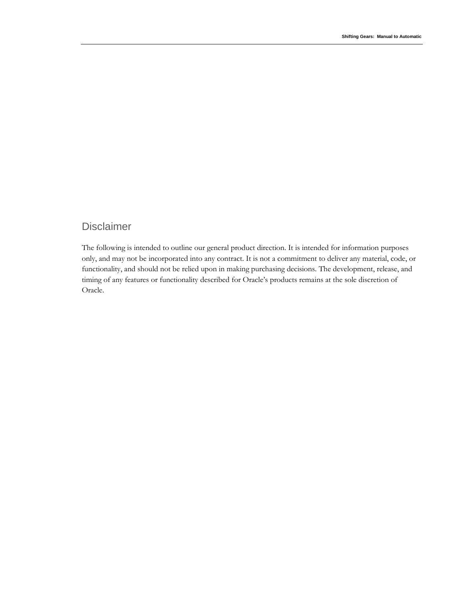## Disclaimer

The following is intended to outline our general product direction. It is intended for information purposes only, and may not be incorporated into any contract. It is not a commitment to deliver any material, code, or functionality, and should not be relied upon in making purchasing decisions. The development, release, and timing of any features or functionality described for Oracle's products remains at the sole discretion of Oracle.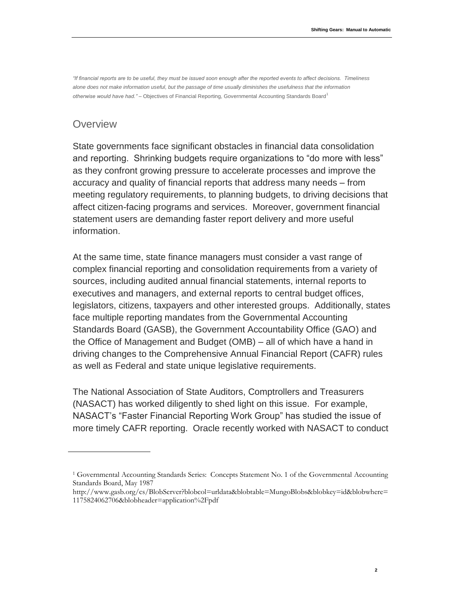*"If financial reports are to be useful, they must be issued soon enough after the reported events to affect decisions. Timeliness alone does not make information useful, but the passage of time usually diminishes the usefulness that the information otherwise would have had."* – Objectives of Financial Reporting, Governmental Accounting Standards Board<sup>1</sup>

#### **Overview**

State governments face significant obstacles in financial data consolidation and reporting. Shrinking budgets require organizations to "do more with less" as they confront growing pressure to accelerate processes and improve the accuracy and quality of financial reports that address many needs – from meeting regulatory requirements, to planning budgets, to driving decisions that affect citizen-facing programs and services. Moreover, government financial statement users are demanding faster report delivery and more useful information.

At the same time, state finance managers must consider a vast range of complex financial reporting and consolidation requirements from a variety of sources, including audited annual financial statements, internal reports to executives and managers, and external reports to central budget offices, legislators, citizens, taxpayers and other interested groups. Additionally, states face multiple reporting mandates from the Governmental Accounting Standards Board (GASB), the Government Accountability Office (GAO) and the Office of Management and Budget (OMB) – all of which have a hand in driving changes to the Comprehensive Annual Financial Report (CAFR) rules as well as Federal and state unique legislative requirements.

The National Association of State Auditors, Comptrollers and Treasurers (NASACT) has worked diligently to shed light on this issue. For example, NASACT's "Faster Financial Reporting Work Group" has studied the issue of more timely CAFR reporting. Oracle recently worked with NASACT to conduct

<sup>1</sup> Governmental Accounting Standards Series: Concepts Statement No. 1 of the Governmental Accounting Standards Board, May 1987

http://www.gasb.org/cs/BlobServer?blobcol=urldata&blobtable=MungoBlobs&blobkey=id&blobwhere= 1175824062706&blobheader=application%2Fpdf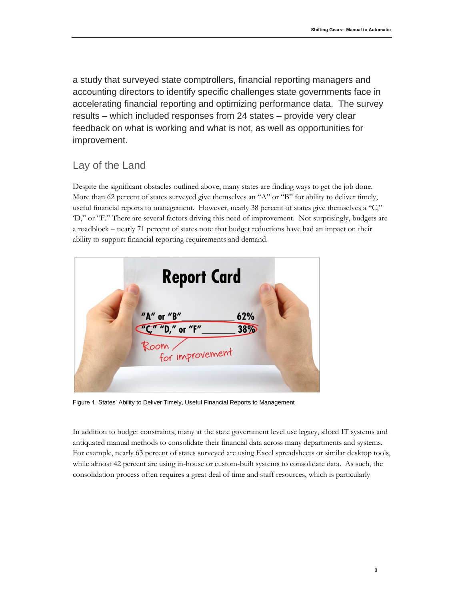a study that surveyed state comptrollers, financial reporting managers and accounting directors to identify specific challenges state governments face in accelerating financial reporting and optimizing performance data. The survey results – which included responses from 24 states – provide very clear feedback on what is working and what is not, as well as opportunities for improvement.

### Lay of the Land

Despite the significant obstacles outlined above, many states are finding ways to get the job done. More than 62 percent of states surveyed give themselves an "A" or "B" for ability to deliver timely, useful financial reports to management. However, nearly 38 percent of states give themselves a "C," 'D," or "F." There are several factors driving this need of improvement. Not surprisingly, budgets are a roadblock – nearly 71 percent of states note that budget reductions have had an impact on their ability to support financial reporting requirements and demand.



Figure 1. States' Ability to Deliver Timely, Useful Financial Reports to Management

In addition to budget constraints, many at the state government level use legacy, siloed IT systems and antiquated manual methods to consolidate their financial data across many departments and systems. For example, nearly 63 percent of states surveyed are using Excel spreadsheets or similar desktop tools, while almost 42 percent are using in-house or custom-built systems to consolidate data. As such, the consolidation process often requires a great deal of time and staff resources, which is particularly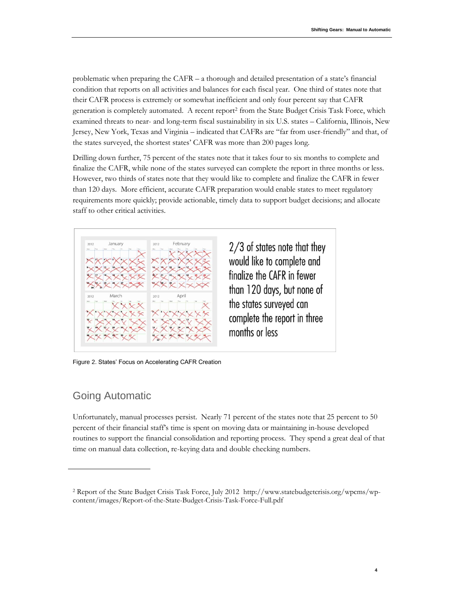problematic when preparing the CAFR – a thorough and detailed presentation of a state's financial condition that reports on all activities and balances for each fiscal year. One third of states note that their CAFR process is extremely or somewhat inefficient and only four percent say that CAFR generation is completely automated. A recent report<sup>2</sup> from the State Budget Crisis Task Force, which examined threats to near- and long-term fiscal sustainability in six U.S. states – California, Illinois, New Jersey, New York, Texas and Virginia – indicated that CAFRs are "far from user-friendly" and that, of the states surveyed, the shortest states' CAFR was more than 200 pages long.

Drilling down further, 75 percent of the states note that it takes four to six months to complete and finalize the CAFR, while none of the states surveyed can complete the report in three months or less. However, two thirds of states note that they would like to complete and finalize the CAFR in fewer than 120 days. More efficient, accurate CAFR preparation would enable states to meet regulatory requirements more quickly; provide actionable, timely data to support budget decisions; and allocate staff to other critical activities.



2/3 of states note that they would like to complete and finglize the CAFR in fewer than 120 days, but none of the states surveyed can complete the report in three months or less

Figure 2. States' Focus on Accelerating CAFR Creation

### Going Automatic

Unfortunately, manual processes persist. Nearly 71 percent of the states note that 25 percent to 50 percent of their financial staff's time is spent on moving data or maintaining in-house developed routines to support the financial consolidation and reporting process. They spend a great deal of that time on manual data collection, re-keying data and double checking numbers.

<sup>2</sup> Report of the State Budget Crisis Task Force, July 2012 http://www.statebudgetcrisis.org/wpcms/wpcontent/images/Report-of-the-State-Budget-Crisis-Task-Force-Full.pdf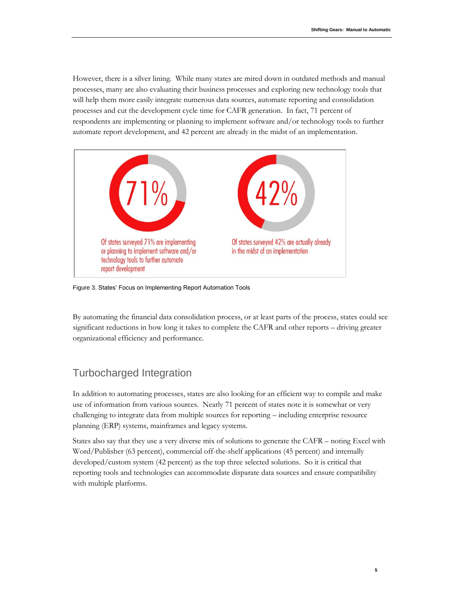However, there is a silver lining. While many states are mired down in outdated methods and manual processes, many are also evaluating their business processes and exploring new technology tools that will help them more easily integrate numerous data sources, automate reporting and consolidation processes and cut the development cycle time for CAFR generation. In fact, 71 percent of respondents are implementing or planning to implement software and/or technology tools to further automate report development, and 42 percent are already in the midst of an implementation.



Figure 3. States' Focus on Implementing Report Automation Tools

By automating the financial data consolidation process, or at least parts of the process, states could see significant reductions in how long it takes to complete the CAFR and other reports – driving greater organizational efficiency and performance.

# Turbocharged Integration

In addition to automating processes, states are also looking for an efficient way to compile and make use of information from various sources. Nearly 71 percent of states note it is somewhat or very challenging to integrate data from multiple sources for reporting – including enterprise resource planning (ERP) systems, mainframes and legacy systems.

States also say that they use a very diverse mix of solutions to generate the CAFR – noting Excel with Word/Publisher (63 percent), commercial off-the-shelf applications (45 percent) and internally developed/custom system (42 percent) as the top three selected solutions. So it is critical that reporting tools and technologies can accommodate disparate data sources and ensure compatibility with multiple platforms.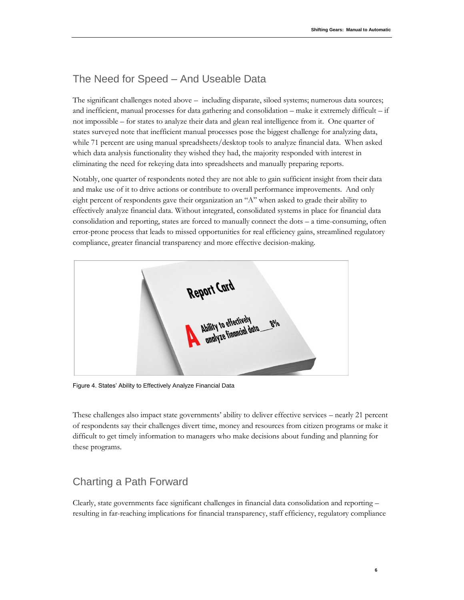# The Need for Speed – And Useable Data

The significant challenges noted above – including disparate, siloed systems; numerous data sources; and inefficient, manual processes for data gathering and consolidation – make it extremely difficult – if not impossible – for states to analyze their data and glean real intelligence from it. One quarter of states surveyed note that inefficient manual processes pose the biggest challenge for analyzing data, while 71 percent are using manual spreadsheets/desktop tools to analyze financial data. When asked which data analysis functionality they wished they had, the majority responded with interest in eliminating the need for rekeying data into spreadsheets and manually preparing reports.

Notably, one quarter of respondents noted they are not able to gain sufficient insight from their data and make use of it to drive actions or contribute to overall performance improvements. And only eight percent of respondents gave their organization an "A" when asked to grade their ability to effectively analyze financial data. Without integrated, consolidated systems in place for financial data consolidation and reporting, states are forced to manually connect the dots – a time-consuming, often error-prone process that leads to missed opportunities for real efficiency gains, streamlined regulatory compliance, greater financial transparency and more effective decision-making.



Figure 4. States' Ability to Effectively Analyze Financial Data

These challenges also impact state governments' ability to deliver effective services – nearly 21 percent of respondents say their challenges divert time, money and resources from citizen programs or make it difficult to get timely information to managers who make decisions about funding and planning for these programs.

### Charting a Path Forward

Clearly, state governments face significant challenges in financial data consolidation and reporting – resulting in far-reaching implications for financial transparency, staff efficiency, regulatory compliance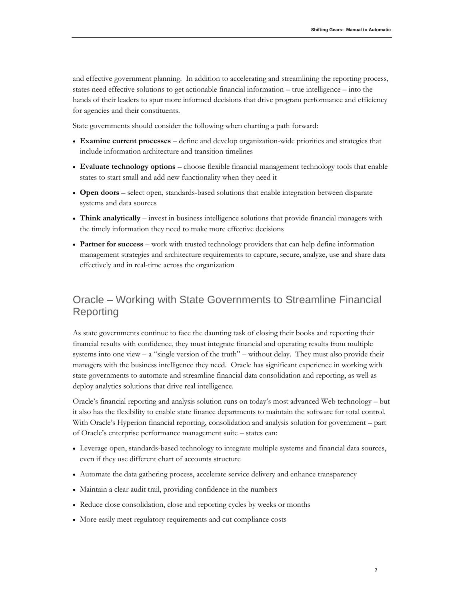and effective government planning. In addition to accelerating and streamlining the reporting process, states need effective solutions to get actionable financial information – true intelligence – into the hands of their leaders to spur more informed decisions that drive program performance and efficiency for agencies and their constituents.

State governments should consider the following when charting a path forward:

- **Examine current processes** define and develop organization-wide priorities and strategies that include information architecture and transition timelines
- **Evaluate technology options** choose flexible financial management technology tools that enable states to start small and add new functionality when they need it
- **Open doors** select open, standards-based solutions that enable integration between disparate systems and data sources
- **Think analytically** invest in business intelligence solutions that provide financial managers with the timely information they need to make more effective decisions
- **Partner for success** work with trusted technology providers that can help define information management strategies and architecture requirements to capture, secure, analyze, use and share data effectively and in real-time across the organization

### Oracle – Working with State Governments to Streamline Financial Reporting

As state governments continue to face the daunting task of closing their books and reporting their financial results with confidence, they must integrate financial and operating results from multiple systems into one view  $- a$  "single version of the truth" – without delay. They must also provide their managers with the business intelligence they need. Oracle has significant experience in working with state governments to automate and streamline financial data consolidation and reporting, as well as deploy analytics solutions that drive real intelligence.

Oracle's financial reporting and analysis solution runs on today's most advanced Web technology – but it also has the flexibility to enable state finance departments to maintain the software for total control. With Oracle's Hyperion financial reporting, consolidation and analysis solution for government – part of Oracle's enterprise performance management suite – states can:

- Leverage open, standards-based technology to integrate multiple systems and financial data sources, even if they use different chart of accounts structure
- Automate the data gathering process, accelerate service delivery and enhance transparency
- Maintain a clear audit trail, providing confidence in the numbers
- Reduce close consolidation, close and reporting cycles by weeks or months
- More easily meet regulatory requirements and cut compliance costs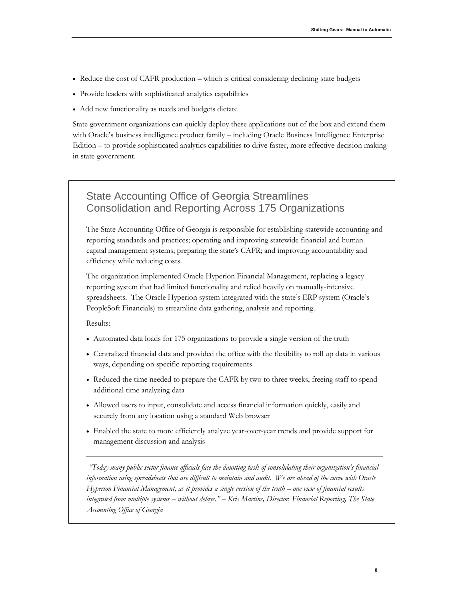**8**

- Reduce the cost of CAFR production which is critical considering declining state budgets
- Provide leaders with sophisticated analytics capabilities
- Add new functionality as needs and budgets dictate

State government organizations can quickly deploy these applications out of the box and extend them with Oracle's business intelligence product family – including Oracle Business Intelligence Enterprise Edition – to provide sophisticated analytics capabilities to drive faster, more effective decision making in state government.

## State Accounting Office of Georgia Streamlines Consolidation and Reporting Across 175 Organizations

The State Accounting Office of Georgia is responsible for establishing statewide accounting and reporting standards and practices; operating and improving statewide financial and human capital management systems; preparing the state's CAFR; and improving accountability and efficiency while reducing costs.

The organization implemented Oracle Hyperion Financial Management, replacing a legacy reporting system that had limited functionality and relied heavily on manually-intensive spreadsheets. The Oracle Hyperion system integrated with the state's ERP system (Oracle's PeopleSoft Financials) to streamline data gathering, analysis and reporting.

Results:

- Automated data loads for 175 organizations to provide a single version of the truth
- Centralized financial data and provided the office with the flexibility to roll up data in various ways, depending on specific reporting requirements
- Reduced the time needed to prepare the CAFR by two to three weeks, freeing staff to spend additional time analyzing data
- Allowed users to input, consolidate and access financial information quickly, easily and securely from any location using a standard Web browser
- Enabled the state to more efficiently analyze year-over-year trends and provide support for management discussion and analysis

*"Today many public sector finance officials face the daunting task of consolidating their organization's financial information using spreadsheets that are difficult to maintain and audit. We are ahead of the curve with Oracle Hyperion Financial Management, as it provides a single version of the truth – one view of financial results integrated from multiple systems – without delays." – Kris Martins, Director, Financial Reporting, The State Accounting Office of Georgia*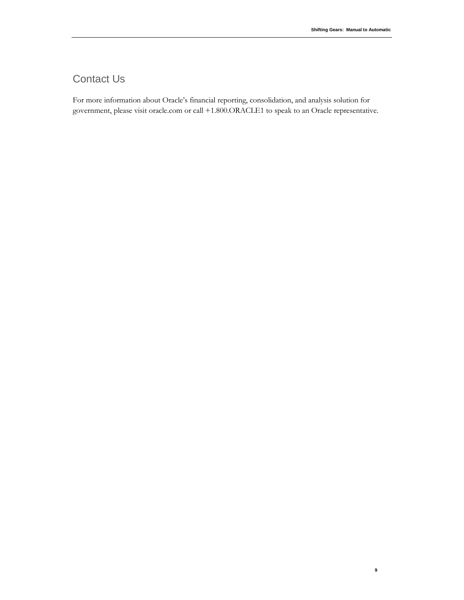**9**

# Contact Us

For more information about Oracle's financial reporting, consolidation, and analysis solution for government, please visit oracle.com or call +1.800.ORACLE1 to speak to an Oracle representative.